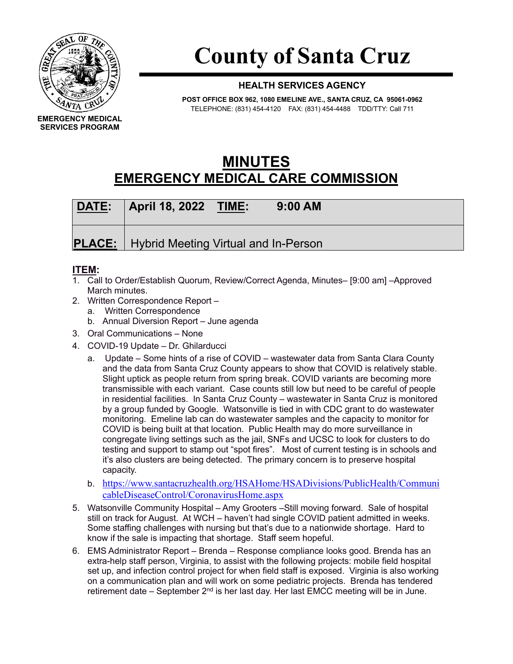

## **County of Santa Cruz**

## **HEALTH SERVICES AGENCY**

**POST OFFICE BOX 962, 1080 EMELINE AVE., SANTA CRUZ, CA 95061-0962** TELEPHONE: (831) 454-4120 FAX: (831) 454-4488 TDD/TTY: Call 711

## **MINUTES EMERGENCY MEDICAL CARE COMMISSION**

| DATE: | <b>April 18, 2022 TIME:</b>                          | $9:00$ AM |  |
|-------|------------------------------------------------------|-----------|--|
|       | <b>PLACE:</b>   Hybrid Meeting Virtual and In-Person |           |  |

## **ITEM:**

- 1. Call to Order/Establish Quorum, Review/Correct Agenda, Minutes– [9:00 am] –Approved March minutes.
- 2. Written Correspondence Report
	- a. Written Correspondence
	- b. Annual Diversion Report June agenda
- 3. Oral Communications None
- 4. COVID-19 Update Dr. Ghilarducci
	- a. Update Some hints of a rise of COVID wastewater data from Santa Clara County and the data from Santa Cruz County appears to show that COVID is relatively stable. Slight uptick as people return from spring break. COVID variants are becoming more transmissible with each variant. Case counts still low but need to be careful of people in residential facilities. In Santa Cruz County – wastewater in Santa Cruz is monitored by a group funded by Google. Watsonville is tied in with CDC grant to do wastewater monitoring. Emeline lab can do wastewater samples and the capacity to monitor for COVID is being built at that location. Public Health may do more surveillance in congregate living settings such as the jail, SNFs and UCSC to look for clusters to do testing and support to stamp out "spot fires". Most of current testing is in schools and it's also clusters are being detected. The primary concern is to preserve hospital capacity.
	- b. [https://www.santacruzhealth.org/HSAHome/HSADivisions/PublicHealth/Communi](https://www.santacruzhealth.org/HSAHome/HSADivisions/PublicHealth/CommunicableDiseaseControl/CoronavirusHome.aspx) [cableDiseaseControl/CoronavirusHome.aspx](https://www.santacruzhealth.org/HSAHome/HSADivisions/PublicHealth/CommunicableDiseaseControl/CoronavirusHome.aspx)
- 5. Watsonville Community Hospital Amy Grooters –Still moving forward. Sale of hospital still on track for August. At WCH – haven't had single COVID patient admitted in weeks. Some staffing challenges with nursing but that's due to a nationwide shortage. Hard to know if the sale is impacting that shortage. Staff seem hopeful.
- 6. EMS Administrator Report Brenda Response compliance looks good. Brenda has an extra-help staff person, Virginia, to assist with the following projects: mobile field hospital set up, and infection control project for when field staff is exposed. Virginia is also working on a communication plan and will work on some pediatric projects. Brenda has tendered retirement date – September  $2<sup>nd</sup>$  is her last day. Her last EMCC meeting will be in June.

**EMERGENCY MEDICAL SERVICES PROGRAM**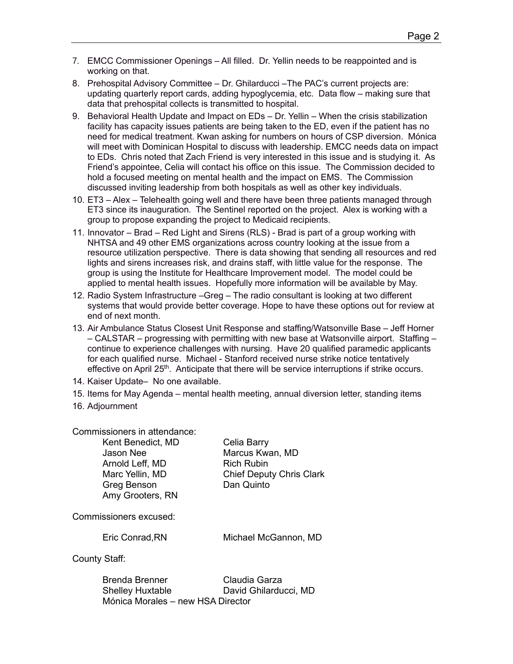- 7. EMCC Commissioner Openings All filled. Dr. Yellin needs to be reappointed and is working on that.
- 8. Prehospital Advisory Committee Dr. Ghilarducci –The PAC's current projects are: updating quarterly report cards, adding hypoglycemia, etc. Data flow – making sure that data that prehospital collects is transmitted to hospital.
- 9. Behavioral Health Update and Impact on EDs Dr. Yellin When the crisis stabilization facility has capacity issues patients are being taken to the ED, even if the patient has no need for medical treatment. Kwan asking for numbers on hours of CSP diversion. Mónica will meet with Dominican Hospital to discuss with leadership. EMCC needs data on impact to EDs. Chris noted that Zach Friend is very interested in this issue and is studying it. As Friend's appointee, Celia will contact his office on this issue. The Commission decided to hold a focused meeting on mental health and the impact on EMS. The Commission discussed inviting leadership from both hospitals as well as other key individuals.
- 10. ET3 Alex Telehealth going well and there have been three patients managed through ET3 since its inauguration. The Sentinel reported on the project. Alex is working with a group to propose expanding the project to Medicaid recipients.
- 11. Innovator Brad Red Light and Sirens (RLS) Brad is part of a group working with NHTSA and 49 other EMS organizations across country looking at the issue from a resource utilization perspective. There is data showing that sending all resources and red lights and sirens increases risk, and drains staff, with little value for the response. The group is using the Institute for Healthcare Improvement model. The model could be applied to mental health issues. Hopefully more information will be available by May.
- 12. Radio System Infrastructure –Greg The radio consultant is looking at two different systems that would provide better coverage. Hope to have these options out for review at end of next month.
- 13. Air Ambulance Status Closest Unit Response and staffing/Watsonville Base Jeff Horner – CALSTAR – progressing with permitting with new base at Watsonville airport. Staffing – continue to experience challenges with nursing. Have 20 qualified paramedic applicants for each qualified nurse. Michael - Stanford received nurse strike notice tentatively effective on April 25<sup>th</sup>. Anticipate that there will be service interruptions if strike occurs.
- 14. Kaiser Update– No one available.
- 15. Items for May Agenda mental health meeting, annual diversion letter, standing items
- 16. Adjournment

Commissioners in attendance:

Kent Benedict, MD Celia Barry<br>Jason Nee Marcus Kwa Arnold Leff, MD Rich Rubin Greg Benson **Dan Quinto** Amy Grooters, RN

Marcus Kwan, MD Marc Yellin, MD Chief Deputy Chris Clark

Commissioners excused:

Eric Conrad,RN Michael McGannon, MD

County Staff:

Brenda Brenner Claudia Garza Shelley Huxtable David Ghilarducci, MD Mónica Morales – new HSA Director